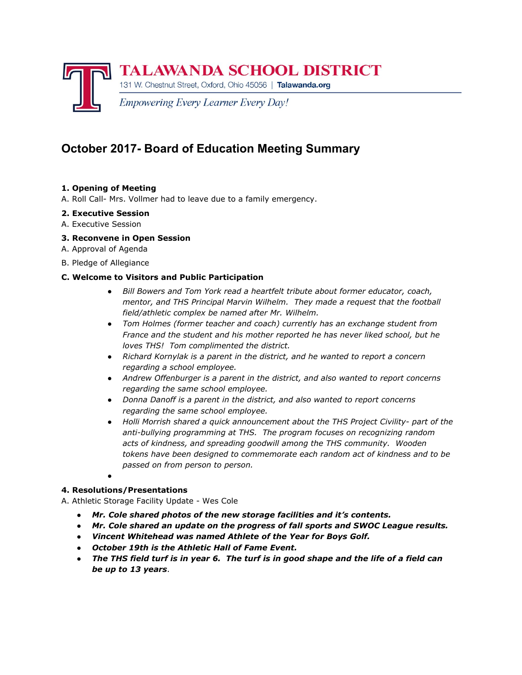

# **October 2017- Board of Education Meeting Summary**

## **1. Opening of Meeting**

A. Roll Call- Mrs. Vollmer had to leave due to a family emergency.

## **2. Executive Session**

A. Executive Session

## **3. Reconvene in Open Session**

- A. Approval of Agenda
- B. Pledge of Allegiance

## **C. Welcome to Visitors and Public Participation**

- *● Bill Bowers and Tom York read a heartfelt tribute about former educator, coach, mentor, and THS Principal Marvin Wilhelm. They made a request that the football field/athletic complex be named after Mr. Wilhelm.*
- *● Tom Holmes (former teacher and coach) currently has an exchange student from France and the student and his mother reported he has never liked school, but he loves THS! Tom complimented the district.*
- *● Richard Kornylak is a parent in the district, and he wanted to report a concern regarding a school employee.*
- *● Andrew Offenburger is a parent in the district, and also wanted to report concerns regarding the same school employee.*
- *● Donna Danoff is a parent in the district, and also wanted to report concerns regarding the same school employee.*
- *● Holli Morrish shared a quick announcement about the THS Project Civility- part of the anti-bullying programming at THS. The program focuses on recognizing random acts of kindness, and spreading goodwill among the THS community. Wooden tokens have been designed to commemorate each random act of kindness and to be passed on from person to person.*
- ●

## **4. Resolutions/Presentations**

A. Athletic Storage Facility Update - Wes Cole

- *● Mr. Cole shared photos of the new storage facilities and it's contents.*
- *● Mr. Cole shared an update on the progress of fall sports and SWOC League results.*
- *● Vincent Whitehead was named Athlete of the Year for Boys Golf.*
- *● October 19th is the Athletic Hall of Fame Event.*
- The THS field turf is in year 6. The turf is in good shape and the life of a field can *be up to 13 years*.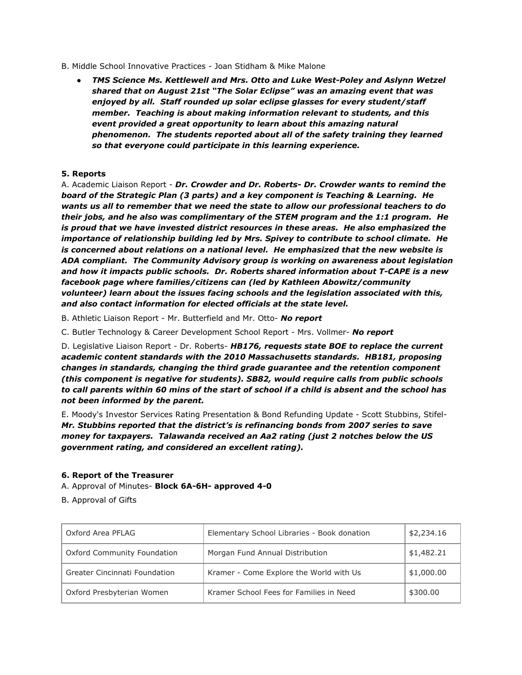- B. Middle School Innovative Practices Joan Stidham & Mike Malone
	- *● TMS Science Ms. Kettlewell and Mrs. Otto and Luke West-Poley and Aslynn Wetzel shared that on August 21st "The Solar Eclipse" was an amazing event that was enjoyed by all. Staff rounded up solar eclipse glasses for every student/staff member. Teaching is about making information relevant to students, and this event provided a great opportunity to learn about this amazing natural phenomenon. The students reported about all of the safety training they learned so that everyone could participate in this learning experience.*

### **5. Reports**

A. Academic Liaison Report - *Dr. Crowder and Dr. Roberts- Dr. Crowder wants to remind the board of the Strategic Plan (3 parts) and a key component is Teaching & Learning. He wants us all to remember that we need the state to allow our professional teachers to do their jobs, and he also was complimentary of the STEM program and the 1:1 program. He is proud that we have invested district resources in these areas. He also emphasized the importance of relationship building led by Mrs. Spivey to contribute to school climate. He is concerned about relations on a national level. He emphasized that the new website is ADA compliant. The Community Advisory group is working on awareness about legislation and how it impacts public schools. Dr. Roberts shared information about T-CAPE is a new facebook page where families/citizens can (led by Kathleen Abowitz/community volunteer) learn about the issues facing schools and the legislation associated with this, and also contact information for elected officials at the state level.*

B. Athletic Liaison Report - Mr. Butterfield and Mr. Otto- *No report*

C. Butler Technology & Career Development School Report - Mrs. Vollmer- *No report*

D. Legislative Liaison Report - Dr. Roberts- *HB176, requests state BOE to replace the current academic content standards with the 2010 Massachusetts standards. HB181, proposing changes in standards, changing the third grade guarantee and the retention component (this component is negative for students). SB82, would require calls from public schools* to call parents within 60 mins of the start of school if a child is absent and the school has *not been informed by the parent.*

E. Moody's Investor Services Rating Presentation & Bond Refunding Update - Scott Stubbins, Stifel-*Mr. Stubbins reported that the district's is refinancing bonds from 2007 series to save money for taxpayers. Talawanda received an Aa2 rating (just 2 notches below the US government rating, and considered an excellent rating).*

#### **6. Report of the Treasurer**

A. Approval of Minutes- **Block 6A-6H- approved 4-0**

B. Approval of Gifts

| Oxford Area PFLAG                    | Elementary School Libraries - Book donation | \$2,234.16 |
|--------------------------------------|---------------------------------------------|------------|
| Oxford Community Foundation          | Morgan Fund Annual Distribution             | \$1,482.21 |
| <b>Greater Cincinnati Foundation</b> | Kramer - Come Explore the World with Us     | \$1,000.00 |
| Oxford Presbyterian Women            | Kramer School Fees for Families in Need     | \$300.00   |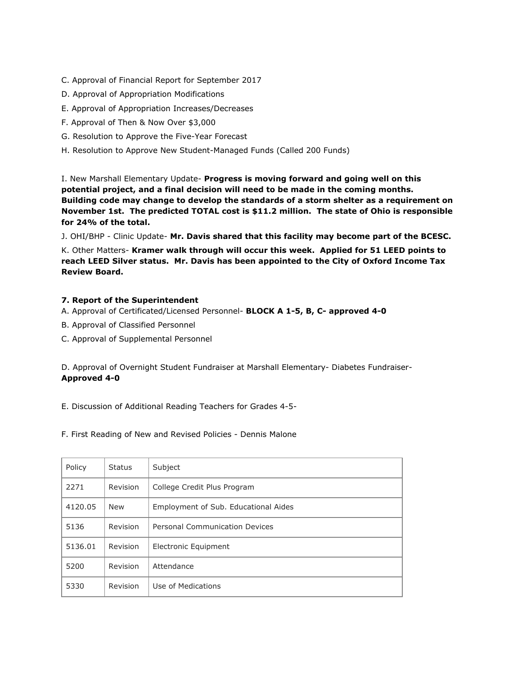- C. Approval of Financial Report for September 2017
- D. Approval of Appropriation Modifications
- E. Approval of Appropriation Increases/Decreases
- F. Approval of Then & Now Over \$3,000
- G. Resolution to Approve the Five-Year Forecast
- H. Resolution to Approve New Student-Managed Funds (Called 200 Funds)

I. New Marshall Elementary Update- **Progress is moving forward and going well on this potential project, and a final decision will need to be made in the coming months. Building code may change to develop the standards of a storm shelter as a requirement on November 1st. The predicted TOTAL cost is \$11.2 million. The state of Ohio is responsible for 24% of the total.**

J. OHI/BHP - Clinic Update- **Mr. Davis shared that this facility may become part of the BCESC.**

K. Other Matters- **Kramer walk through will occur this week. Applied for 51 LEED points to reach LEED Silver status. Mr. Davis has been appointed to the City of Oxford Income Tax Review Board.**

### **7. Report of the Superintendent**

- A. Approval of Certificated/Licensed Personnel- **BLOCK A 1-5, B, C- approved 4-0**
- B. Approval of Classified Personnel
- C. Approval of Supplemental Personnel

D. Approval of Overnight Student Fundraiser at Marshall Elementary- Diabetes Fundraiser-**Approved 4-0**

E. Discussion of Additional Reading Teachers for Grades 4-5-

F. First Reading of New and Revised Policies - Dennis Malone

| Policy  | <b>Status</b>   | Subject                              |
|---------|-----------------|--------------------------------------|
| 2271    | <b>Revision</b> | College Credit Plus Program          |
| 4120.05 | <b>New</b>      | Employment of Sub. Educational Aides |
| 5136    | Revision        | Personal Communication Devices       |
| 5136.01 | Revision        | Electronic Equipment                 |
| 5200    | Revision        | Attendance                           |
| 5330    | <b>Revision</b> | Use of Medications                   |